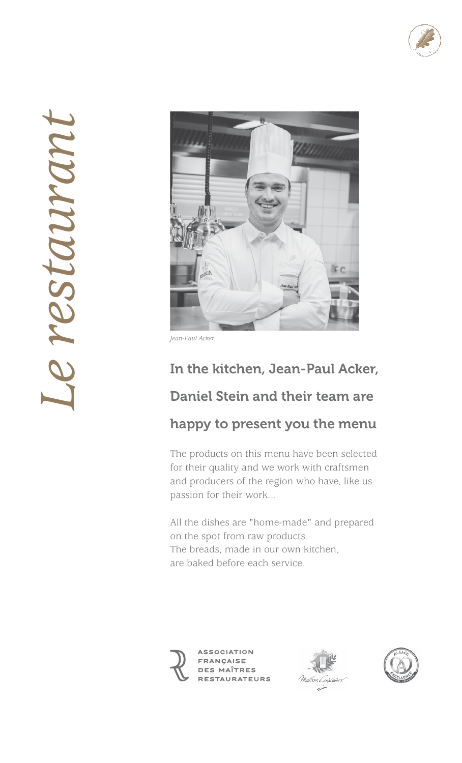



*Jean-Paul Acker.*

### In the kitchen, Jean-Paul Acker,

### Daniel Stein and their team are

### happy to present you the menu

The products on this menu have been selected for their quality and we work with craftsmen and producers of the region who have, like us passion for their work...

All the dishes are "home-made" and prepared on the spot from raw products. The breads, made in our own kitchen, are baked before each service.





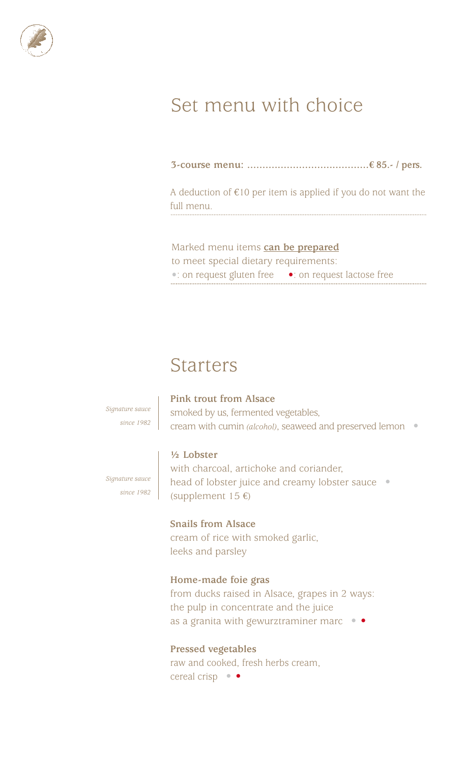

# Set menu with choice

**3-course menu: ........................................€ 85.- / pers.**

A deduction of €10 per item is applied if you do not want the full menu.

Marked menu items **can be prepared** to meet special dietary requirements: **•**: on request gluten free **•**: on request lactose free

### Starters

*Signature sauce since 1982*

#### **Pink trout from Alsace**

smoked by us, fermented vegetables, cream with cumin *(alcohol)*, seaweed and preserved lemon •

### **½ Lobster**

*Signature sauce since 1982* with charcoal, artichoke and coriander, head of lobster juice and creamy lobster sauce • (supplement  $15 \text{ } \infty$ )

### **Snails from Alsace**

cream of rice with smoked garlic, leeks and parsley

### **Home-made foie gras**

from ducks raised in Alsace, grapes in 2 ways: the pulp in concentrate and the juice as a granita with gewurztraminer marc  $\bullet$ 

### **Pressed vegetables**

raw and cooked, fresh herbs cream, cereal crisp • •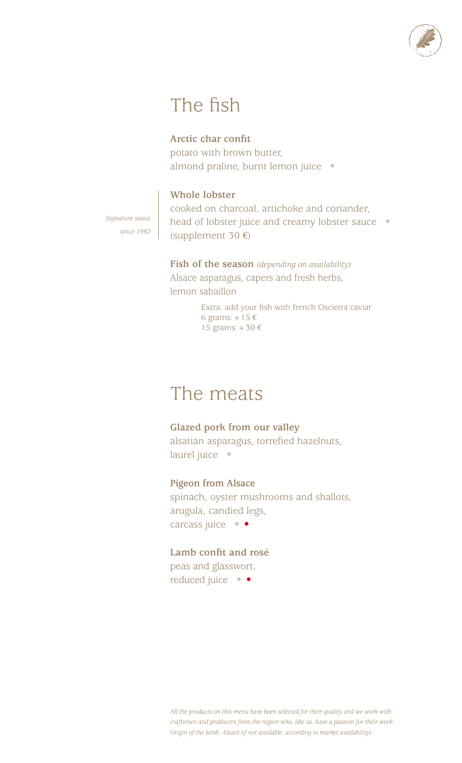

# The fish

### **Arctic char confit**

potato with brown butter, almond praline, burnt lemon juice •

### **Whole lobster**

*Signature sauce since 1982* cooked on charcoal, artichoke and coriander, head of lobster juice and creamy lobster sauce • (supplement 30 €)

**Fish of the season** *(depending on availability)* Alsace asparagus, capers and fresh herbs, lemon sabaillon

> Extra: add your fish with french Oscietra caviar 6 grams:  $+15 \text{ } \in$ 15 grams:+30 €

## The meats

**Glazed pork from our valley**  alsatian asparagus, torrefied hazelnuts, laurel juice •

**Pigeon from Alsace**  spinach, oyster mushrooms and shallots, arugula, candied legs, carcass juice • •

**Lamb confit and rosé**  peas and glasswort,

reduced juice • •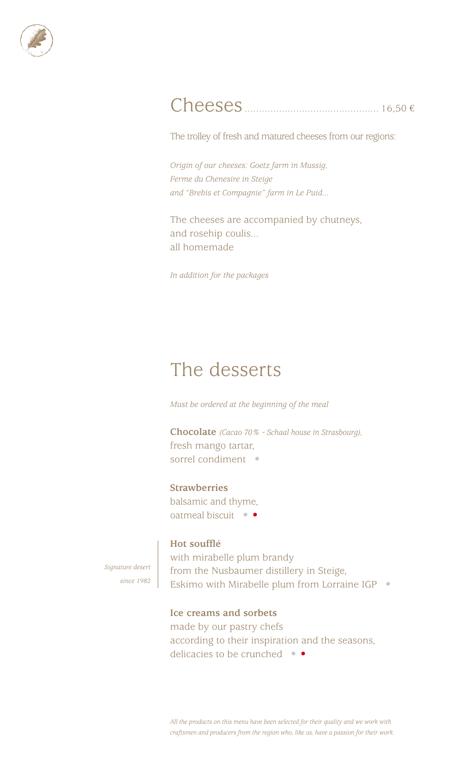

### Cheeses............................................... 16,50 €

The trolley of fresh and matured cheeses from our regions:

*Origin of our cheeses: Goetz farm in Mussig, Ferme du Chenesire in Steige and "Brebis et Compagnie" farm in Le Puid...*

The cheeses are accompanied by chutneys, and rosehip coulis... all homemade

*In addition for the packages*

## The desserts

*Must be ordered at the beginning of the meal*

**Chocolate** *(Cacao 70% - Schaal house in Strasbourg),* fresh mango tartar, sorrel condiment •

#### **Strawberries**

balsamic and thyme, oatmeal biscuit • •

### **Hot soufflé**

*Signature desert since 1982* with mirabelle plum brandy from the Nusbaumer distillery in Steige, Eskimo with Mirabelle plum from Lorraine IGP •

### **Ice creams and sorbets**

made by our pastry chefs according to their inspiration and the seasons, delicacies to be crunched • •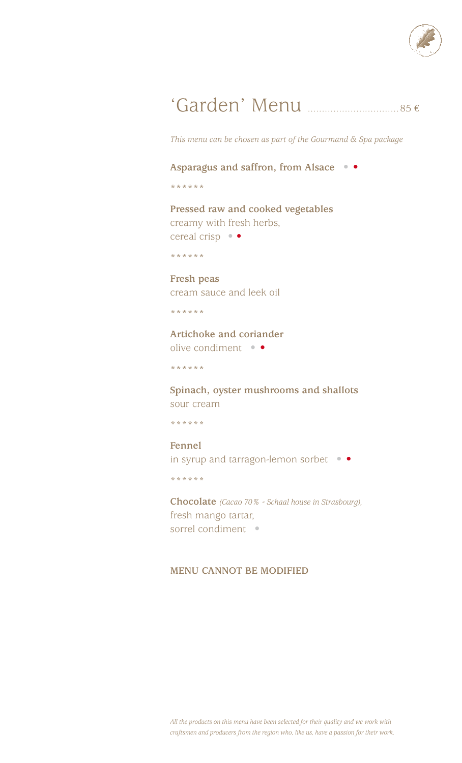

# 'Garden' Menu ................................85 €

*This menu can be chosen as part of the Gourmand & Spa package*

### **Asparagus and saffron, from Alsace** • •

\*\*\*\*\*\*

**Pressed raw and cooked vegetables** creamy with fresh herbs, cereal crisp • •

\*\*\*\*\*\*

**Fresh peas**  cream sauce and leek oil

\*\*\*\*\*\*

**Artichoke and coriander**  olive condiment • •

\*\*\*\*\*\*

**Spinach, oyster mushrooms and shallots**  sour cream

\*\*\*\*\*\*

**Fennel**  in syrup and tarragon-lemon sorbet • •

\*\*\*\*\*\*

**Chocolate** *(Cacao 70% - Schaal house in Strasbourg),* fresh mango tartar, sorrel condiment •

### **MENU CANNOT BE MODIFIED**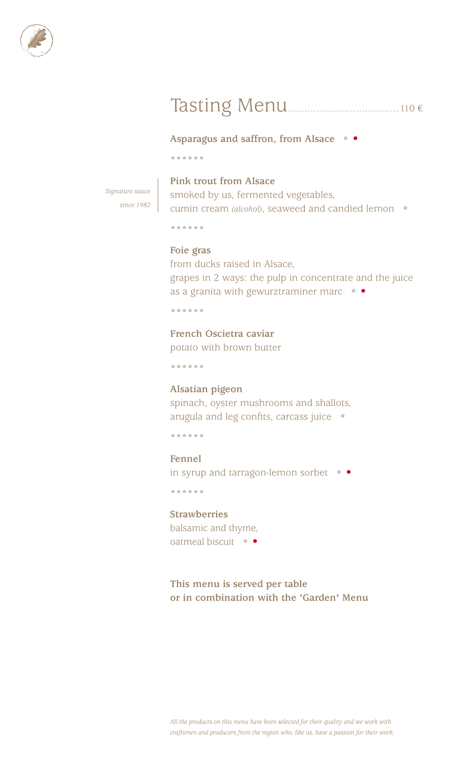

# Tasting Menu.......................................110 €

**Asparagus and saffron, from Alsace** • •

\*\*\*\*\*\*

*Signature sauce since 1982*

### **Pink trout from Alsace**

smoked by us, fermented vegetables, cumin cream *(alcohol)*, seaweed and candied lemon •

\*\*\*\*\*\*

### **Foie gras**

from ducks raised in Alsace, grapes in 2 ways: the pulp in concentrate and the juice as a granita with gewurztraminer marc  $\bullet$ 

\*\*\*\*\*\*

**French Oscietra caviar** 

potato with brown butter

\*\*\*\*\*\*

### **Alsatian pigeon**

spinach, oyster mushrooms and shallots, arugula and leg confits, carcass juice •

\*\*\*\*\*\*

### **Fennel**

in syrup and tarragon-lemon sorbet • •

\*\*\*\*\*\*

### **Strawberries**

balsamic and thyme, oatmeal biscuit • •

**This menu is served per table or in combination with the 'Garden' Menu**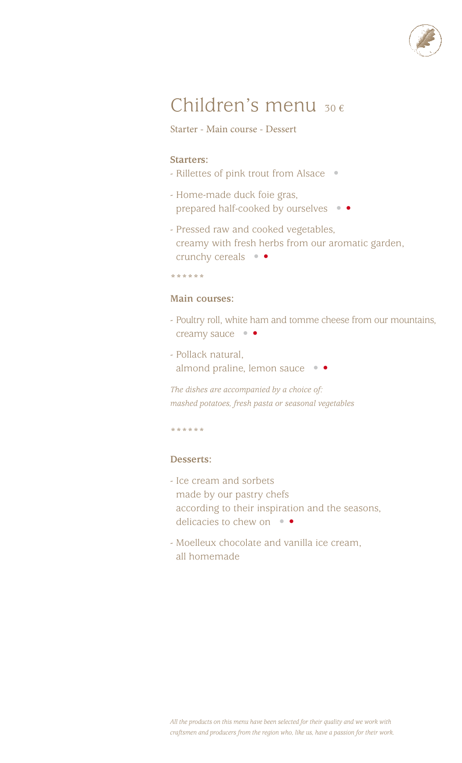

# Children's menu <sup>30</sup>€

Starter - Main course - Dessert

### **Starters:**

- Rillettes of pink trout from Alsace •
- Home-made duck foie gras, prepared half-cooked by ourselves • •
- Pressed raw and cooked vegetables, creamy with fresh herbs from our aromatic garden, crunchy cereals • •
- \*\*\*\*\*\*

### **Main courses:**

- Poultry roll, white ham and tomme cheese from our mountains, creamy sauce • •
- Pollack natural, almond praline, lemon sauce • •

*The dishes are accompanied by a choice of: mashed potatoes, fresh pasta or seasonal vegetables*

\*\*\*\*\*\*

### **Desserts:**

- Ice cream and sorbets made by our pastry chefs according to their inspiration and the seasons, delicacies to chew on  $\bullet$
- Moelleux chocolate and vanilla ice cream, all homemade